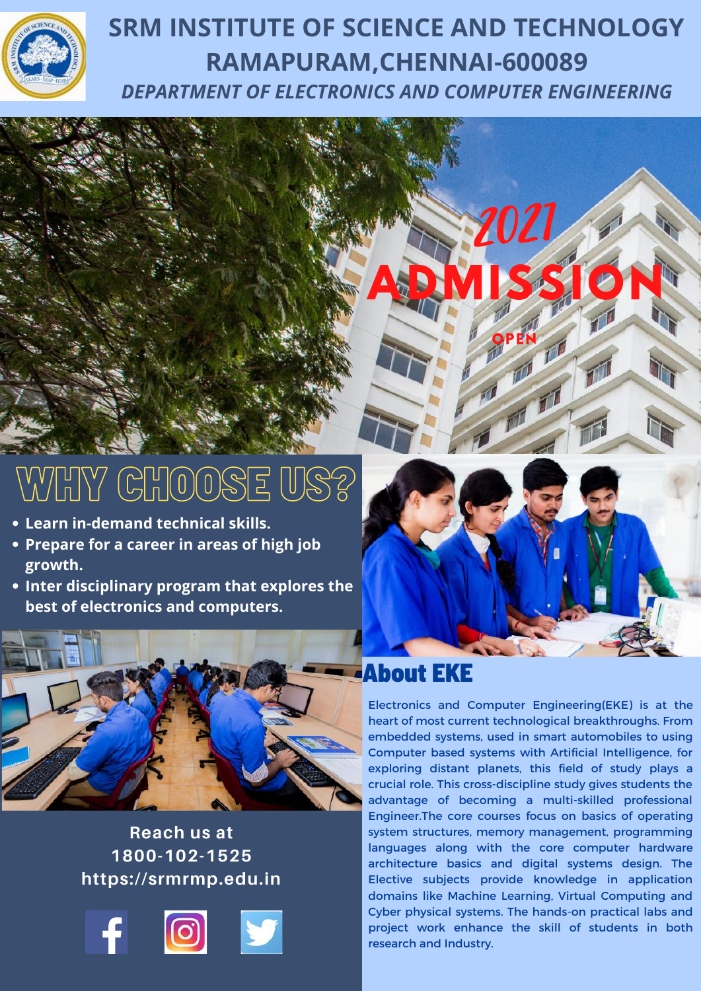

# **SRM INSTITUTE OF SCIENCE AND TECHNOLOGY RAMAPURAM,CHENNAI-600089** *DEPARTMENT OF ELECTRONICS AND COMPUTER ENGINEERING*

# $\parallel$ H $\parallel$ Y $\parallel$  (C) $\parallel$ H $\parallel$ (O) $\parallel$ SE

- **Learn in-demand technical skills.**
- **Prepare for a career in areas of high job growth.**
- **Inter disciplinary program that explores the best of electronics and computers.**



### **Reach us at 1800-102-1525 https://srmrmp.edu.in**





Electronics and Computer Engineering(EKE) is at the heart of most current technological breakthroughs. From embedded systems, used in smart automobiles to using Computer based systems with Artificial Intelligence, for exploring distant planets, this field of study plays a crucial role. This cross-discipline study gives students the advantage of becoming a multi-skilled professional Engineer.The core courses focus on basics of operating system structures, memory management, programming languages along with the core computer hardware architecture basics and digital systems design. The Elective subjects provide knowledge in application domains like Machine Learning, Virtual Computing and Cyber physical systems. The hands-on practical labs and project work enhance the skill of students in both research and Industry.

**ANGELER** 

**ADMISSION** 

**OPEN** 

一

2021